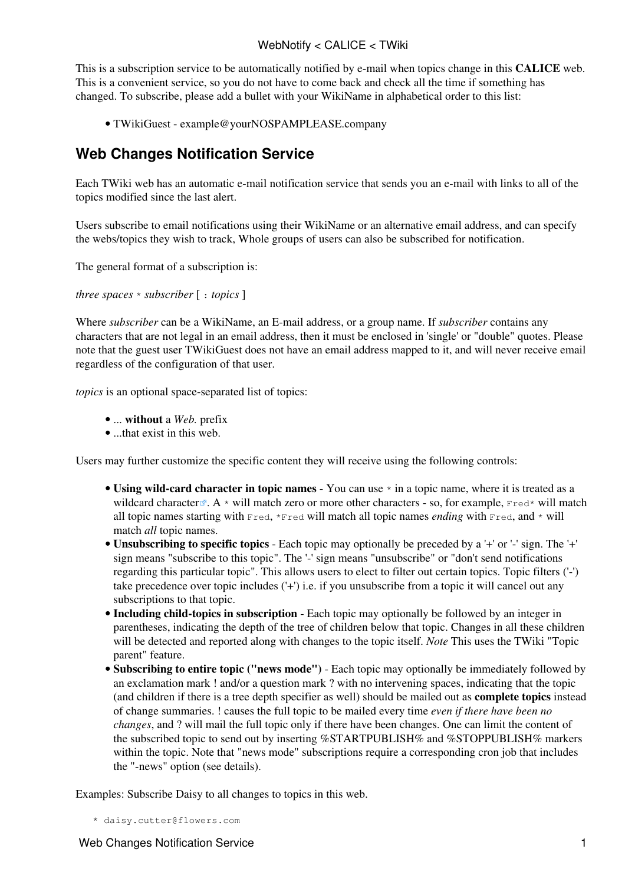## WebNotify < CALICE < TWiki

This is a subscription service to be automatically notified by e-mail when topics change in this **CALICE** web. This is a convenient service, so you do not have to come back and check all the time if something has changed. To subscribe, please add a bullet with your [WikiName](https://twiki.cern.ch/twiki/bin/view/TWiki/WikiName) in alphabetical order to this list:

• [TWikiGuest](https://twiki.cern.ch/twiki/bin/view/Main/TWikiGuest) - [example@yourNOSPAMPLEASE.company](mailto:example@yourNOSPAMPLEASE.company)

## **Web Changes Notification Service**

Each TWiki web has an automatic e-mail notification service that sends you an e-mail with links to all of the topics modified since the last alert.

Users subscribe to email notifications using their [WikiName](https://twiki.cern.ch/twiki/bin/view/TWiki/WikiName) or an alternative email address, and can specify the webs/topics they wish to track, Whole groups of users can also be subscribed for notification.

The general format of a subscription is:

*three spaces* \* *subscriber* [ : *topics* ]

Where *subscriber* can be a [WikiName](https://twiki.cern.ch/twiki/bin/view/TWiki/WikiName), an E-mail address, or a group name. If *subscriber* contains any characters that are not legal in an email address, then it must be enclosed in 'single' or "double" quotes. Please note that the guest user TWikiGuest does not have an email address mapped to it, and will never receive email regardless of the configuration of that user.

*topics* is an optional space-separated list of topics:

- ... **without** a *Web.* prefix
- ...that exist in this web.

Users may further customize the specific content they will receive using the following controls:

- Using wild-card character in topic names You can use  $*$  in a topic name, where it is treated as a [wildcard character](http://en.wikipedia.org/wiki/Wildcard_character)  $\mathbb{R}$ . A \* will match zero or more other characters - so, for example, Fred\* will match all topic names starting with  $Fred$ ,  $*pred$  will match all topic names *ending* with  $Fred$ , and  $*$  will match *all* topic names.
- **Unsubscribing to specific topics** Each topic may optionally be preceded by a '+' or '-' sign. The '+' sign means "subscribe to this topic". The '-' sign means "unsubscribe" or "don't send notifications regarding this particular topic". This allows users to elect to filter out certain topics. Topic filters ('-') take precedence over topic includes ('+') i.e. if you unsubscribe from a topic it will cancel out any subscriptions to that topic.
- **Including child-topics in subscription** Each topic may optionally be followed by an integer in parentheses, indicating the depth of the tree of children below that topic. Changes in all these children will be detected and reported along with changes to the topic itself. *Note* This uses the TWiki "Topic parent" feature.
- **Subscribing to entire topic ("news mode")** Each topic may optionally be immediately followed by an exclamation mark ! and/or a question mark ? with no intervening spaces, indicating that the topic (and children if there is a tree depth specifier as well) should be mailed out as **complete topics** instead of change summaries. ! causes the full topic to be mailed every time *even if there have been no changes*, and ? will mail the full topic only if there have been changes. One can limit the content of the subscribed topic to send out by inserting %STARTPUBLISH% and %STOPPUBLISH% markers within the topic. Note that "news mode" subscriptions require a corresponding cron job that includes the "-news" option (see [details](https://twiki.cern.ch/twiki/bin/view/TWiki/MailerContrib#Setting_up_your_cron_job_s)).

Examples: Subscribe Daisy to all changes to topics in this web.

```
 * daisy.cutter@flowers.com
```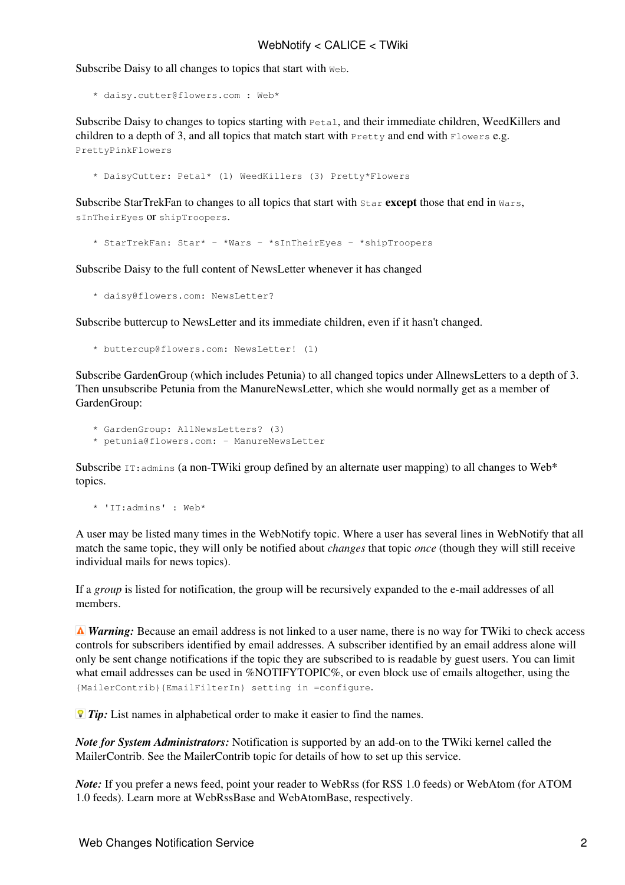Subscribe Daisy to all changes to topics that start with Web.

\* daisy.cutter@flowers.com : Web\*

Subscribe Daisy to changes to topics starting with Petal, and their immediate children, WeedKillers and children to a depth of 3, and all topics that match start with  $P_{\text{rettv}}$  and end with  $F_{\text{lowest}}$  e.g. PrettyPinkFlowers

\* DaisyCutter: Petal\* (1) WeedKillers (3) Pretty\*Flowers

Subscribe StarTrekFan to changes to all topics that start with Star **except** those that end in Wars, sInTheirEyes or shipTroopers.

\* StarTrekFan: Star\* - \*Wars - \*sInTheirEyes - \*shipTroopers

Subscribe Daisy to the full content of NewsLetter whenever it has changed

\* daisy@flowers.com: NewsLetter?

Subscribe buttercup to NewsLetter and its immediate children, even if it hasn't changed.

\* buttercup@flowers.com: NewsLetter! (1)

Subscribe GardenGroup (which includes Petunia) to all changed topics under AllnewsLetters to a depth of 3. Then unsubscribe Petunia from the ManureNewsLetter, which she would normally get as a member of [GardenGroup](https://twiki.cern.ch/twiki/bin/edit/TWiki/GardenGroup?topicparent=CALICE.WebNotify;nowysiwyg=1):

\* GardenGroup: AllNewsLetters? (3)

\* petunia@flowers.com: - ManureNewsLetter

Subscribe  $IT:$  admins (a non-TWiki group defined by an alternate user mapping) to all changes to Web\* topics.

\* 'IT:admins' : Web\*

A user may be listed many times in the WebNotify topic. Where a user has several lines in WebNotify that all match the same topic, they will only be notified about *changes* that topic *once* (though they will still receive individual mails for news topics).

If a *group* is listed for notification, the group will be recursively expanded to the e-mail addresses of all members.

*A Warning:* Because an email address is not linked to a user name, there is no way for TWiki to check access controls for subscribers identified by email addresses. A subscriber identified by an email address alone will only be sent change notifications if the topic they are subscribed to is readable by guest users. You can limit what email addresses can be used in %NOTIFYTOPIC%, or even block use of emails altogether, using the {MailerContrib}{EmailFilterIn} setting in =configure.

*Tip:* List names in alphabetical order to make it easier to find the names.

*Note for System Administrators:* Notification is supported by an add-on to the TWiki kernel called the MailerContrib. See the [MailerContrib](https://twiki.cern.ch/twiki/bin/view/TWiki/MailerContrib) topic for details of how to set up this service.

*Note:* If you prefer a news feed, point your reader to [WebRss](https://twiki.cern.ch/twiki/bin/view/CALICE/WebRss) (for RSS 1.0 feeds) or [WebAtom](https://twiki.cern.ch/twiki/bin/view/CALICE/WebAtom) (for ATOM 1.0 feeds). Learn more at [WebRssBase](https://twiki.cern.ch/twiki/bin/view/TWiki/WebRssBase) and [WebAtomBase,](https://twiki.cern.ch/twiki/bin/view/TWiki/WebAtomBase) respectively.